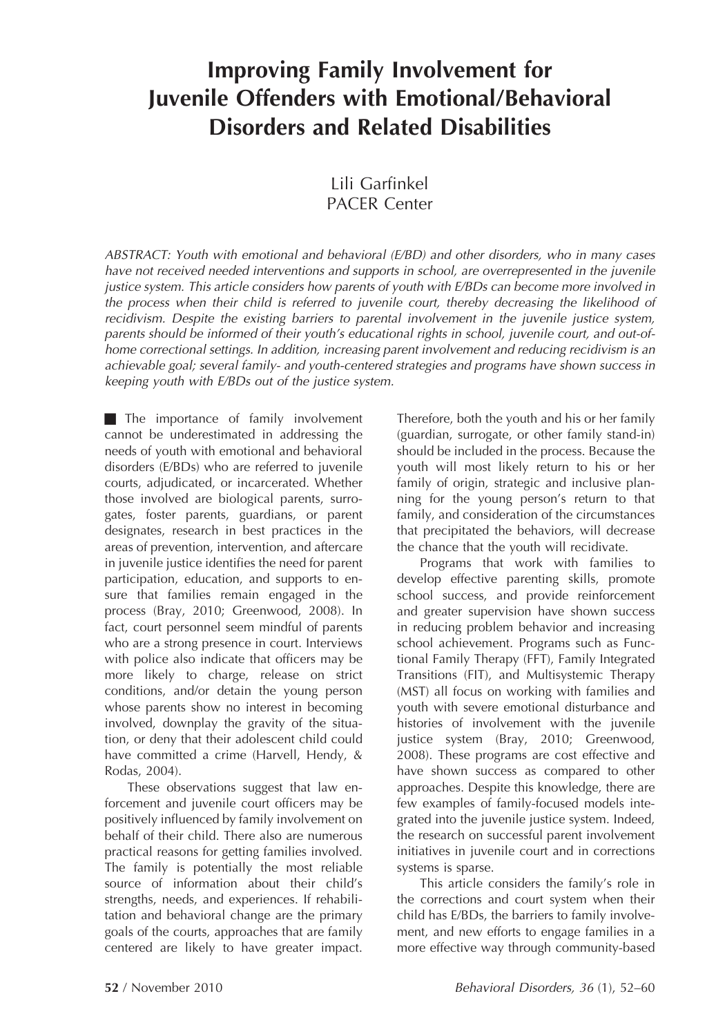# Improving Family Involvement for Juvenile Offenders with Emotional/Behavioral Disorders and Related Disabilities

# Lili Garfinkel PACER Center

ABSTRACT: Youth with emotional and behavioral (E/BD) and other disorders, who in many cases have not received needed interventions and supports in school, are overrepresented in the juvenile justice system. This article considers how parents of youth with E/BDs can become more involved in the process when their child is referred to juvenile court, thereby decreasing the likelihood of recidivism. Despite the existing barriers to parental involvement in the juvenile justice system, parents should be informed of their youth's educational rights in school, juvenile court, and out-ofhome correctional settings. In addition, increasing parent involvement and reducing recidivism is an achievable goal; several family- and youth-centered strategies and programs have shown success in keeping youth with E/BDs out of the justice system.

The importance of family involvement cannot be underestimated in addressing the needs of youth with emotional and behavioral disorders (E/BDs) who are referred to juvenile courts, adjudicated, or incarcerated. Whether those involved are biological parents, surrogates, foster parents, guardians, or parent designates, research in best practices in the areas of prevention, intervention, and aftercare in juvenile justice identifies the need for parent participation, education, and supports to ensure that families remain engaged in the process (Bray, 2010; Greenwood, 2008). In fact, court personnel seem mindful of parents who are a strong presence in court. Interviews with police also indicate that officers may be more likely to charge, release on strict conditions, and/or detain the young person whose parents show no interest in becoming involved, downplay the gravity of the situation, or deny that their adolescent child could have committed a crime (Harvell, Hendy, & Rodas, 2004).

These observations suggest that law enforcement and juvenile court officers may be positively influenced by family involvement on behalf of their child. There also are numerous practical reasons for getting families involved. The family is potentially the most reliable source of information about their child's strengths, needs, and experiences. If rehabilitation and behavioral change are the primary goals of the courts, approaches that are family centered are likely to have greater impact.

Therefore, both the youth and his or her family (guardian, surrogate, or other family stand-in) should be included in the process. Because the youth will most likely return to his or her family of origin, strategic and inclusive planning for the young person's return to that family, and consideration of the circumstances that precipitated the behaviors, will decrease the chance that the youth will recidivate.

Programs that work with families to develop effective parenting skills, promote school success, and provide reinforcement and greater supervision have shown success in reducing problem behavior and increasing school achievement. Programs such as Functional Family Therapy (FFT), Family Integrated Transitions (FIT), and Multisystemic Therapy (MST) all focus on working with families and youth with severe emotional disturbance and histories of involvement with the juvenile justice system (Bray, 2010; Greenwood, 2008). These programs are cost effective and have shown success as compared to other approaches. Despite this knowledge, there are few examples of family-focused models integrated into the juvenile justice system. Indeed, the research on successful parent involvement initiatives in juvenile court and in corrections systems is sparse.

This article considers the family's role in the corrections and court system when their child has E/BDs, the barriers to family involvement, and new efforts to engage families in a more effective way through community-based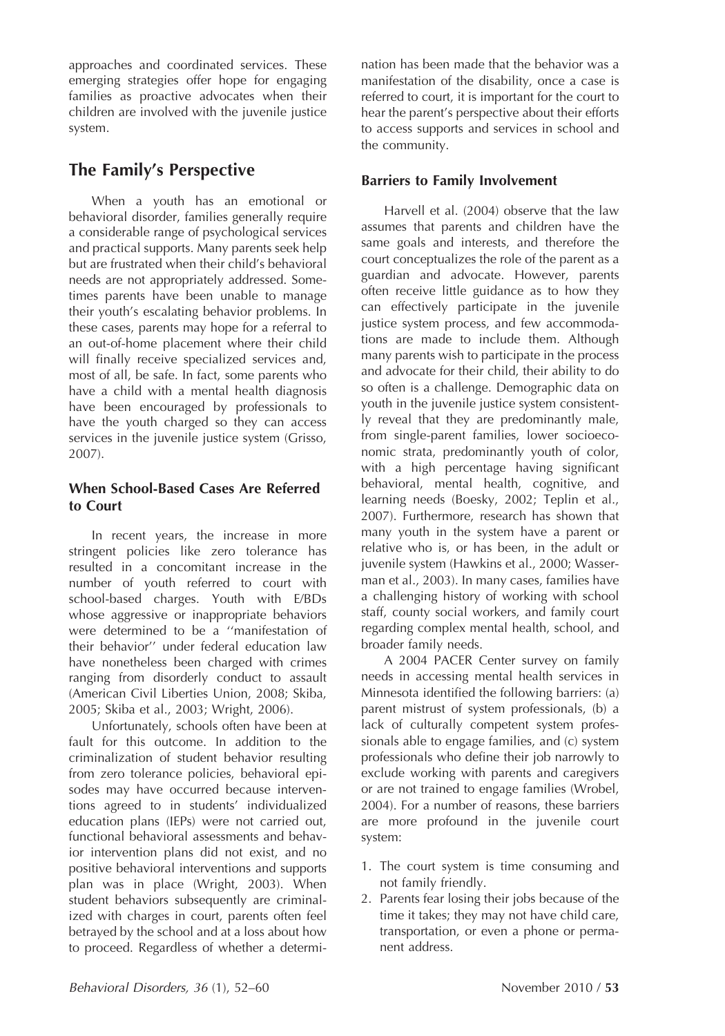approaches and coordinated services. These emerging strategies offer hope for engaging families as proactive advocates when their children are involved with the juvenile justice system.

### The Family's Perspective

When a youth has an emotional or behavioral disorder, families generally require a considerable range of psychological services and practical supports. Many parents seek help but are frustrated when their child's behavioral needs are not appropriately addressed. Sometimes parents have been unable to manage their youth's escalating behavior problems. In these cases, parents may hope for a referral to an out-of-home placement where their child will finally receive specialized services and, most of all, be safe. In fact, some parents who have a child with a mental health diagnosis have been encouraged by professionals to have the youth charged so they can access services in the juvenile justice system (Grisso, 2007).

### When School-Based Cases Are Referred to Court

In recent years, the increase in more stringent policies like zero tolerance has resulted in a concomitant increase in the number of youth referred to court with school-based charges. Youth with E/BDs whose aggressive or inappropriate behaviors were determined to be a ''manifestation of their behavior'' under federal education law have nonetheless been charged with crimes ranging from disorderly conduct to assault (American Civil Liberties Union, 2008; Skiba, 2005; Skiba et al., 2003; Wright, 2006).

Unfortunately, schools often have been at fault for this outcome. In addition to the criminalization of student behavior resulting from zero tolerance policies, behavioral episodes may have occurred because interventions agreed to in students' individualized education plans (IEPs) were not carried out, functional behavioral assessments and behavior intervention plans did not exist, and no positive behavioral interventions and supports plan was in place (Wright, 2003). When student behaviors subsequently are criminalized with charges in court, parents often feel betrayed by the school and at a loss about how to proceed. Regardless of whether a determination has been made that the behavior was a manifestation of the disability, once a case is referred to court, it is important for the court to hear the parent's perspective about their efforts to access supports and services in school and the community.

### Barriers to Family Involvement

Harvell et al. (2004) observe that the law assumes that parents and children have the same goals and interests, and therefore the court conceptualizes the role of the parent as a guardian and advocate. However, parents often receive little guidance as to how they can effectively participate in the juvenile justice system process, and few accommodations are made to include them. Although many parents wish to participate in the process and advocate for their child, their ability to do so often is a challenge. Demographic data on youth in the juvenile justice system consistently reveal that they are predominantly male, from single-parent families, lower socioeconomic strata, predominantly youth of color, with a high percentage having significant behavioral, mental health, cognitive, and learning needs (Boesky, 2002; Teplin et al., 2007). Furthermore, research has shown that many youth in the system have a parent or relative who is, or has been, in the adult or juvenile system (Hawkins et al., 2000; Wasserman et al., 2003). In many cases, families have a challenging history of working with school staff, county social workers, and family court regarding complex mental health, school, and broader family needs.

A 2004 PACER Center survey on family needs in accessing mental health services in Minnesota identified the following barriers: (a) parent mistrust of system professionals, (b) a lack of culturally competent system professionals able to engage families, and (c) system professionals who define their job narrowly to exclude working with parents and caregivers or are not trained to engage families (Wrobel, 2004). For a number of reasons, these barriers are more profound in the juvenile court system:

- 1. The court system is time consuming and not family friendly.
- 2. Parents fear losing their jobs because of the time it takes; they may not have child care, transportation, or even a phone or permanent address.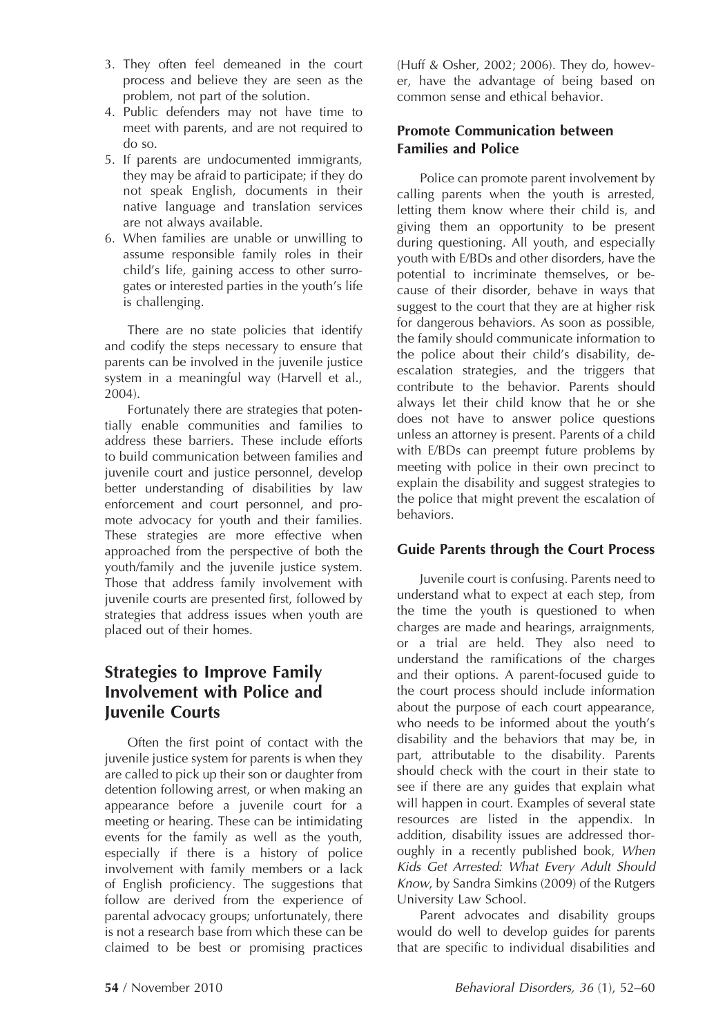- 3. They often feel demeaned in the court process and believe they are seen as the problem, not part of the solution.
- 4. Public defenders may not have time to meet with parents, and are not required to do so.
- 5. If parents are undocumented immigrants, they may be afraid to participate; if they do not speak English, documents in their native language and translation services are not always available.
- 6. When families are unable or unwilling to assume responsible family roles in their child's life, gaining access to other surrogates or interested parties in the youth's life is challenging.

There are no state policies that identify and codify the steps necessary to ensure that parents can be involved in the juvenile justice system in a meaningful way (Harvell et al., 2004).

Fortunately there are strategies that potentially enable communities and families to address these barriers. These include efforts to build communication between families and juvenile court and justice personnel, develop better understanding of disabilities by law enforcement and court personnel, and promote advocacy for youth and their families. These strategies are more effective when approached from the perspective of both the youth/family and the juvenile justice system. Those that address family involvement with juvenile courts are presented first, followed by strategies that address issues when youth are placed out of their homes.

# Strategies to Improve Family Involvement with Police and Juvenile Courts

Often the first point of contact with the juvenile justice system for parents is when they are called to pick up their son or daughter from detention following arrest, or when making an appearance before a juvenile court for a meeting or hearing. These can be intimidating events for the family as well as the youth, especially if there is a history of police involvement with family members or a lack of English proficiency. The suggestions that follow are derived from the experience of parental advocacy groups; unfortunately, there is not a research base from which these can be claimed to be best or promising practices

(Huff & Osher, 2002; 2006). They do, however, have the advantage of being based on common sense and ethical behavior.

### Promote Communication between Families and Police

Police can promote parent involvement by calling parents when the youth is arrested, letting them know where their child is, and giving them an opportunity to be present during questioning. All youth, and especially youth with E/BDs and other disorders, have the potential to incriminate themselves, or because of their disorder, behave in ways that suggest to the court that they are at higher risk for dangerous behaviors. As soon as possible, the family should communicate information to the police about their child's disability, deescalation strategies, and the triggers that contribute to the behavior. Parents should always let their child know that he or she does not have to answer police questions unless an attorney is present. Parents of a child with E/BDs can preempt future problems by meeting with police in their own precinct to explain the disability and suggest strategies to the police that might prevent the escalation of behaviors.

### Guide Parents through the Court Process

Juvenile court is confusing. Parents need to understand what to expect at each step, from the time the youth is questioned to when charges are made and hearings, arraignments, or a trial are held. They also need to understand the ramifications of the charges and their options. A parent-focused guide to the court process should include information about the purpose of each court appearance, who needs to be informed about the youth's disability and the behaviors that may be, in part, attributable to the disability. Parents should check with the court in their state to see if there are any guides that explain what will happen in court. Examples of several state resources are listed in the appendix. In addition, disability issues are addressed thoroughly in a recently published book, When Kids Get Arrested: What Every Adult Should Know, by Sandra Simkins (2009) of the Rutgers University Law School.

Parent advocates and disability groups would do well to develop guides for parents that are specific to individual disabilities and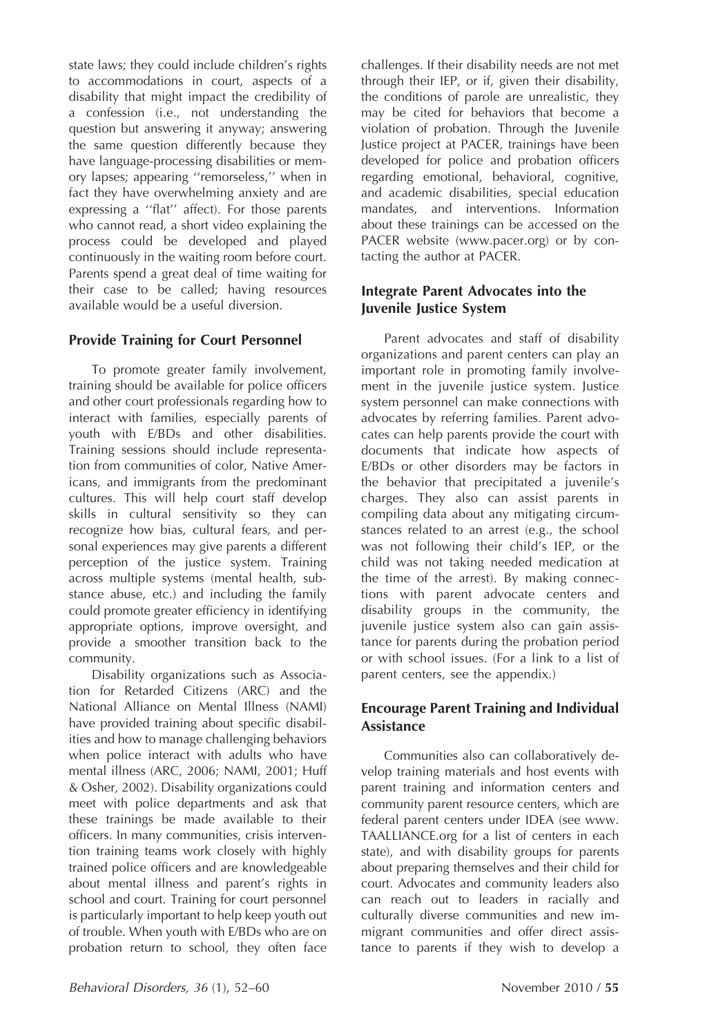state laws; they could include children's rights to accommodations in court, aspects of a disability that might impact the credibility of a confession (i.e., not understanding the question but answering it anyway; answering the same question differently because they have language-processing disabilities or memory lapses; appearing ''remorseless,'' when in fact they have overwhelming anxiety and are expressing a ''flat'' affect). For those parents who cannot read, a short video explaining the process could be developed and played continuously in the waiting room before court. Parents spend a great deal of time waiting for their case to be called; having resources available would be a useful diversion.

### Provide Training for Court Personnel

To promote greater family involvement, training should be available for police officers and other court professionals regarding how to interact with families, especially parents of youth with E/BDs and other disabilities. Training sessions should include representation from communities of color, Native Americans, and immigrants from the predominant cultures. This will help court staff develop skills in cultural sensitivity so they can recognize how bias, cultural fears, and personal experiences may give parents a different perception of the justice system. Training across multiple systems (mental health, substance abuse, etc.) and including the family could promote greater efficiency in identifying appropriate options, improve oversight, and provide a smoother transition back to the community.

Disability organizations such as Association for Retarded Citizens (ARC) and the National Alliance on Mental Illness (NAMI) have provided training about specific disabilities and how to manage challenging behaviors when police interact with adults who have mental illness (ARC, 2006; NAMI, 2001; Huff & Osher, 2002). Disability organizations could meet with police departments and ask that these trainings be made available to their officers. In many communities, crisis intervention training teams work closely with highly trained police officers and are knowledgeable about mental illness and parent's rights in school and court. Training for court personnel is particularly important to help keep youth out of trouble. When youth with E/BDs who are on probation return to school, they often face

challenges. If their disability needs are not met through their IEP, or if, given their disability, the conditions of parole are unrealistic, they may be cited for behaviors that become a violation of probation. Through the Juvenile Justice project at PACER, trainings have been developed for police and probation officers regarding emotional, behavioral, cognitive, and academic disabilities, special education mandates, and interventions. Information about these trainings can be accessed on the PACER website (www.pacer.org) or by contacting the author at PACER.

### Integrate Parent Advocates into the Juvenile Justice System

Parent advocates and staff of disability organizations and parent centers can play an important role in promoting family involvement in the juvenile justice system. Justice system personnel can make connections with advocates by referring families. Parent advocates can help parents provide the court with documents that indicate how aspects of E/BDs or other disorders may be factors in the behavior that precipitated a juvenile's charges. They also can assist parents in compiling data about any mitigating circumstances related to an arrest (e.g., the school was not following their child's IEP, or the child was not taking needed medication at the time of the arrest). By making connections with parent advocate centers and disability groups in the community, the juvenile justice system also can gain assistance for parents during the probation period or with school issues. (For a link to a list of parent centers, see the appendix.)

### Encourage Parent Training and Individual Assistance

Communities also can collaboratively develop training materials and host events with parent training and information centers and community parent resource centers, which are federal parent centers under IDEA (see www. TAALLIANCE.org for a list of centers in each state), and with disability groups for parents about preparing themselves and their child for court. Advocates and community leaders also can reach out to leaders in racially and culturally diverse communities and new immigrant communities and offer direct assistance to parents if they wish to develop a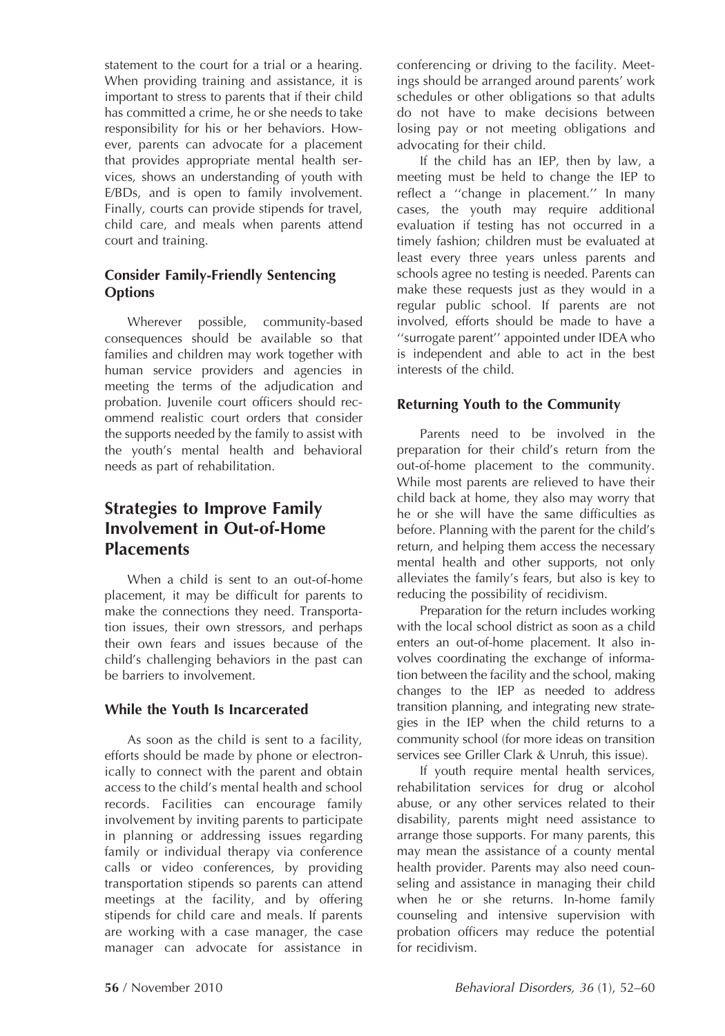statement to the court for a trial or a hearing. When providing training and assistance, it is important to stress to parents that if their child has committed a crime, he or she needs to take responsibility for his or her behaviors. However, parents can advocate for a placement that provides appropriate mental health services, shows an understanding of youth with E/BDs, and is open to family involvement. Finally, courts can provide stipends for travel, child care, and meals when parents attend court and training.

### Consider Family-Friendly Sentencing **Options**

Wherever possible, community-based consequences should be available so that families and children may work together with human service providers and agencies in meeting the terms of the adjudication and probation. Juvenile court officers should recommend realistic court orders that consider the supports needed by the family to assist with the youth's mental health and behavioral needs as part of rehabilitation.

# Strategies to Improve Family Involvement in Out-of-Home **Placements**

When a child is sent to an out-of-home placement, it may be difficult for parents to make the connections they need. Transportation issues, their own stressors, and perhaps their own fears and issues because of the child's challenging behaviors in the past can be barriers to involvement.

### While the Youth Is Incarcerated

As soon as the child is sent to a facility, efforts should be made by phone or electronically to connect with the parent and obtain access to the child's mental health and school records. Facilities can encourage family involvement by inviting parents to participate in planning or addressing issues regarding family or individual therapy via conference calls or video conferences, by providing transportation stipends so parents can attend meetings at the facility, and by offering stipends for child care and meals. If parents are working with a case manager, the case manager can advocate for assistance in

conferencing or driving to the facility. Meetings should be arranged around parents' work schedules or other obligations so that adults do not have to make decisions between losing pay or not meeting obligations and advocating for their child.

If the child has an IEP, then by law, a meeting must be held to change the IEP to reflect a ''change in placement.'' In many cases, the youth may require additional evaluation if testing has not occurred in a timely fashion; children must be evaluated at least every three years unless parents and schools agree no testing is needed. Parents can make these requests just as they would in a regular public school. If parents are not involved, efforts should be made to have a ''surrogate parent'' appointed under IDEA who is independent and able to act in the best interests of the child.

### Returning Youth to the Community

Parents need to be involved in the preparation for their child's return from the out-of-home placement to the community. While most parents are relieved to have their child back at home, they also may worry that he or she will have the same difficulties as before. Planning with the parent for the child's return, and helping them access the necessary mental health and other supports, not only alleviates the family's fears, but also is key to reducing the possibility of recidivism.

Preparation for the return includes working with the local school district as soon as a child enters an out-of-home placement. It also involves coordinating the exchange of information between the facility and the school, making changes to the IEP as needed to address transition planning, and integrating new strategies in the IEP when the child returns to a community school (for more ideas on transition services see Griller Clark & Unruh, this issue).

If youth require mental health services, rehabilitation services for drug or alcohol abuse, or any other services related to their disability, parents might need assistance to arrange those supports. For many parents, this may mean the assistance of a county mental health provider. Parents may also need counseling and assistance in managing their child when he or she returns. In-home family counseling and intensive supervision with probation officers may reduce the potential for recidivism.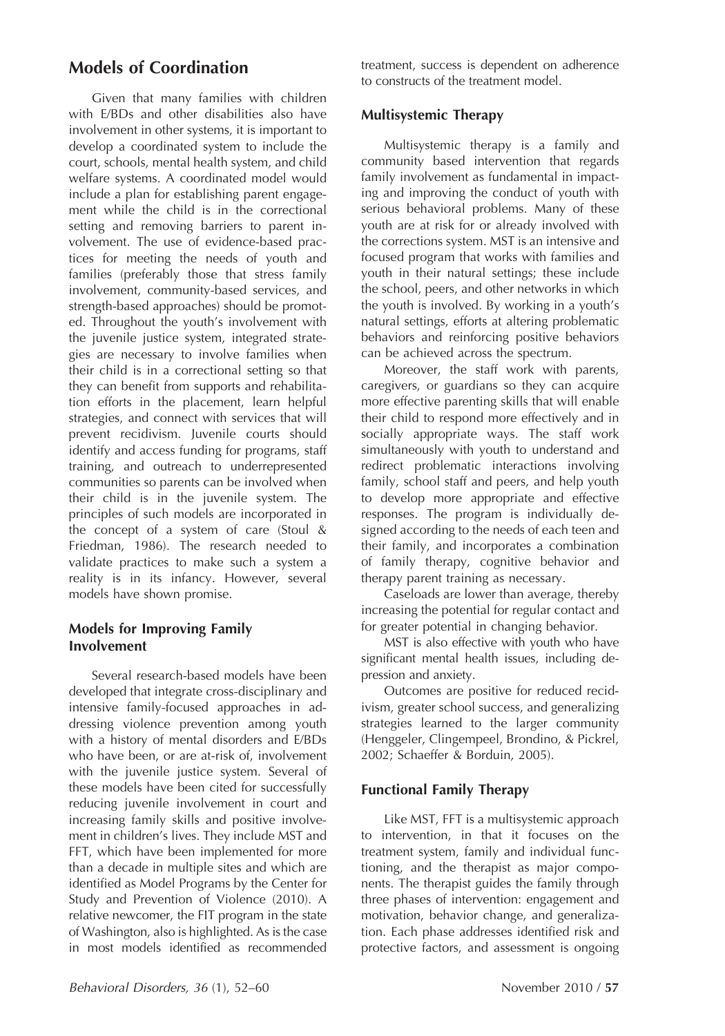### Models of Coordination

Given that many families with children with E/BDs and other disabilities also have involvement in other systems, it is important to develop a coordinated system to include the court, schools, mental health system, and child welfare systems. A coordinated model would include a plan for establishing parent engagement while the child is in the correctional setting and removing barriers to parent involvement. The use of evidence-based practices for meeting the needs of youth and families (preferably those that stress family involvement, community-based services, and strength-based approaches) should be promoted. Throughout the youth's involvement with the juvenile justice system, integrated strategies are necessary to involve families when their child is in a correctional setting so that they can benefit from supports and rehabilitation efforts in the placement, learn helpful strategies, and connect with services that will prevent recidivism. Juvenile courts should identify and access funding for programs, staff training, and outreach to underrepresented communities so parents can be involved when their child is in the juvenile system. The principles of such models are incorporated in the concept of a system of care (Stoul & Friedman, 1986). The research needed to validate practices to make such a system a reality is in its infancy. However, several models have shown promise.

### Models for Improving Family Involvement

Several research-based models have been developed that integrate cross-disciplinary and intensive family-focused approaches in addressing violence prevention among youth with a history of mental disorders and E/BDs who have been, or are at-risk of, involvement with the juvenile justice system. Several of these models have been cited for successfully reducing juvenile involvement in court and increasing family skills and positive involvement in children's lives. They include MST and FFT, which have been implemented for more than a decade in multiple sites and which are identified as Model Programs by the Center for Study and Prevention of Violence (2010). A relative newcomer, the FIT program in the state of Washington, also is highlighted. As is the case in most models identified as recommended

treatment, success is dependent on adherence to constructs of the treatment model.

### Multisystemic Therapy

Multisystemic therapy is a family and community based intervention that regards family involvement as fundamental in impacting and improving the conduct of youth with serious behavioral problems. Many of these youth are at risk for or already involved with the corrections system. MST is an intensive and focused program that works with families and youth in their natural settings; these include the school, peers, and other networks in which the youth is involved. By working in a youth's natural settings, efforts at altering problematic behaviors and reinforcing positive behaviors can be achieved across the spectrum.

Moreover, the staff work with parents, caregivers, or guardians so they can acquire more effective parenting skills that will enable their child to respond more effectively and in socially appropriate ways. The staff work simultaneously with youth to understand and redirect problematic interactions involving family, school staff and peers, and help youth to develop more appropriate and effective responses. The program is individually designed according to the needs of each teen and their family, and incorporates a combination of family therapy, cognitive behavior and therapy parent training as necessary.

Caseloads are lower than average, thereby increasing the potential for regular contact and for greater potential in changing behavior.

MST is also effective with youth who have significant mental health issues, including depression and anxiety.

Outcomes are positive for reduced recidivism, greater school success, and generalizing strategies learned to the larger community (Henggeler, Clingempeel, Brondino, & Pickrel, 2002; Schaeffer & Borduin, 2005).

### Functional Family Therapy

Like MST, FFT is a multisystemic approach to intervention, in that it focuses on the treatment system, family and individual functioning, and the therapist as major components. The therapist guides the family through three phases of intervention: engagement and motivation, behavior change, and generalization. Each phase addresses identified risk and protective factors, and assessment is ongoing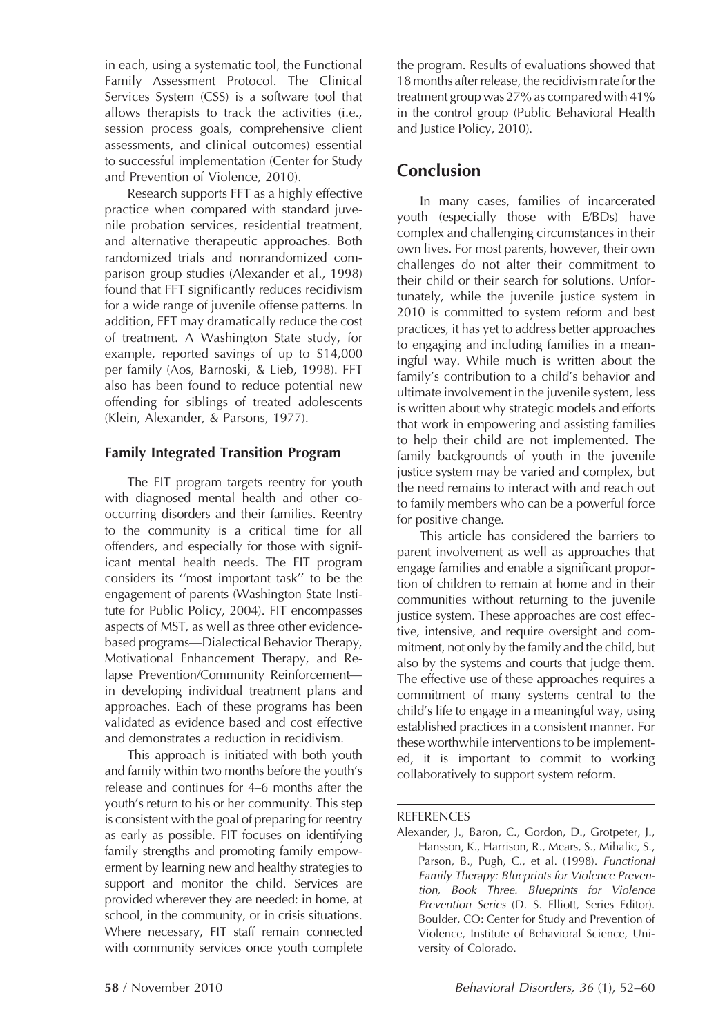in each, using a systematic tool, the Functional Family Assessment Protocol. The Clinical Services System (CSS) is a software tool that allows therapists to track the activities (i.e., session process goals, comprehensive client assessments, and clinical outcomes) essential to successful implementation (Center for Study and Prevention of Violence, 2010).

Research supports FFT as a highly effective practice when compared with standard juvenile probation services, residential treatment, and alternative therapeutic approaches. Both randomized trials and nonrandomized comparison group studies (Alexander et al., 1998) found that FFT significantly reduces recidivism for a wide range of juvenile offense patterns. In addition, FFT may dramatically reduce the cost of treatment. A Washington State study, for example, reported savings of up to \$14,000 per family (Aos, Barnoski, & Lieb, 1998). FFT also has been found to reduce potential new offending for siblings of treated adolescents (Klein, Alexander, & Parsons, 1977).

### Family Integrated Transition Program

The FIT program targets reentry for youth with diagnosed mental health and other cooccurring disorders and their families. Reentry to the community is a critical time for all offenders, and especially for those with significant mental health needs. The FIT program considers its ''most important task'' to be the engagement of parents (Washington State Institute for Public Policy, 2004). FIT encompasses aspects of MST, as well as three other evidencebased programs—Dialectical Behavior Therapy, Motivational Enhancement Therapy, and Relapse Prevention/Community Reinforcement in developing individual treatment plans and approaches. Each of these programs has been validated as evidence based and cost effective and demonstrates a reduction in recidivism.

This approach is initiated with both youth and family within two months before the youth's release and continues for 4–6 months after the youth's return to his or her community. This step is consistent with the goal of preparing for reentry as early as possible. FIT focuses on identifying family strengths and promoting family empowerment by learning new and healthy strategies to support and monitor the child. Services are provided wherever they are needed: in home, at school, in the community, or in crisis situations. Where necessary, FIT staff remain connected with community services once youth complete

the program. Results of evaluations showed that 18 months after release, the recidivism rate for the treatment group was 27% as compared with 41% in the control group (Public Behavioral Health and Justice Policy, 2010).

### Conclusion

In many cases, families of incarcerated youth (especially those with E/BDs) have complex and challenging circumstances in their own lives. For most parents, however, their own challenges do not alter their commitment to their child or their search for solutions. Unfortunately, while the juvenile justice system in 2010 is committed to system reform and best practices, it has yet to address better approaches to engaging and including families in a meaningful way. While much is written about the family's contribution to a child's behavior and ultimate involvement in the juvenile system, less is written about why strategic models and efforts that work in empowering and assisting families to help their child are not implemented. The family backgrounds of youth in the juvenile justice system may be varied and complex, but the need remains to interact with and reach out to family members who can be a powerful force for positive change.

This article has considered the barriers to parent involvement as well as approaches that engage families and enable a significant proportion of children to remain at home and in their communities without returning to the juvenile justice system. These approaches are cost effective, intensive, and require oversight and commitment, not only by the family and the child, but also by the systems and courts that judge them. The effective use of these approaches requires a commitment of many systems central to the child's life to engage in a meaningful way, using established practices in a consistent manner. For these worthwhile interventions to be implemented, it is important to commit to working collaboratively to support system reform.

#### REFERENCES

Alexander, J., Baron, C., Gordon, D., Grotpeter, J., Hansson, K., Harrison, R., Mears, S., Mihalic, S., Parson, B., Pugh, C., et al. (1998). Functional Family Therapy: Blueprints for Violence Prevention, Book Three. Blueprints for Violence Prevention Series (D. S. Elliott, Series Editor). Boulder, CO: Center for Study and Prevention of Violence, Institute of Behavioral Science, University of Colorado.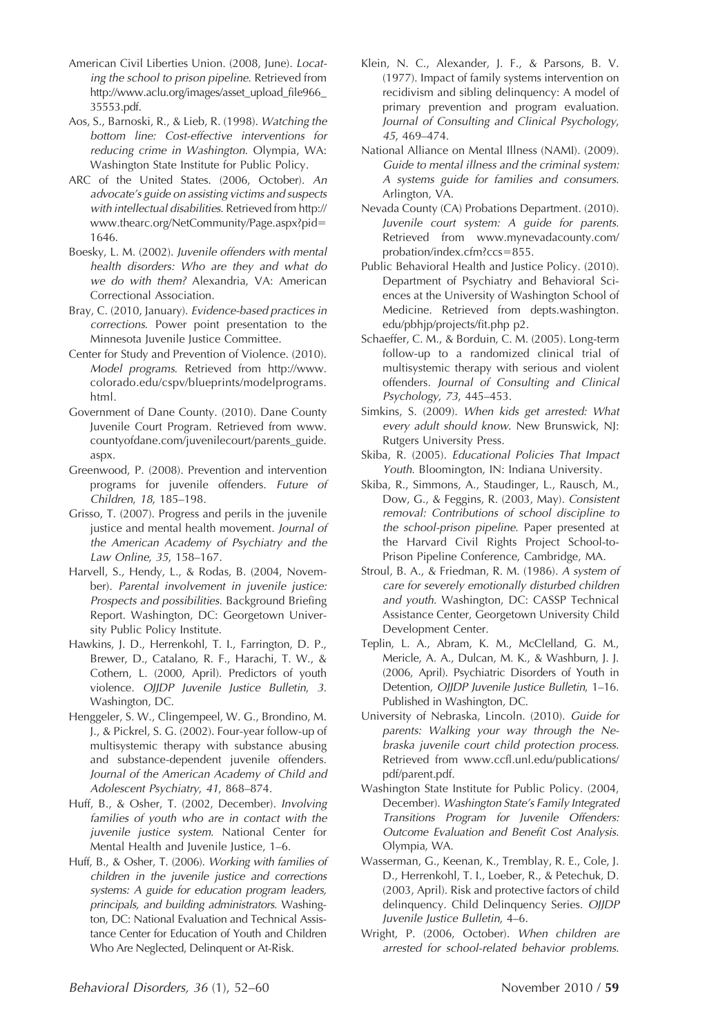- American Civil Liberties Union. (2008, June). Locating the school to prison pipeline. Retrieved from http://www.aclu.org/images/asset\_upload\_file966\_ 35553.pdf.
- Aos, S., Barnoski, R., & Lieb, R. (1998). Watching the bottom line: Cost-effective interventions for reducing crime in Washington. Olympia, WA: Washington State Institute for Public Policy.
- ARC of the United States. (2006, October). An advocate's guide on assisting victims and suspects with intellectual disabilities. Retrieved from http:// www.thearc.org/NetCommunity/Page.aspx?pid5 1646.
- Boesky, L. M. (2002). Juvenile offenders with mental health disorders: Who are they and what do we do with them? Alexandria, VA: American Correctional Association.
- Bray, C. (2010, January). Evidence-based practices in corrections. Power point presentation to the Minnesota Juvenile Justice Committee.
- Center for Study and Prevention of Violence. (2010). Model programs. Retrieved from http://www. colorado.edu/cspv/blueprints/modelprograms. html.
- Government of Dane County. (2010). Dane County Juvenile Court Program. Retrieved from www. countyofdane.com/juvenilecourt/parents\_guide. aspx.
- Greenwood, P. (2008). Prevention and intervention programs for juvenile offenders. Future of Children, 18, 185–198.
- Grisso, T. (2007). Progress and perils in the juvenile justice and mental health movement. Journal of the American Academy of Psychiatry and the Law Online, 35, 158–167.
- Harvell, S., Hendy, L., & Rodas, B. (2004, November). Parental involvement in juvenile justice: Prospects and possibilities. Background Briefing Report. Washington, DC: Georgetown University Public Policy Institute.
- Hawkins, J. D., Herrenkohl, T. I., Farrington, D. P., Brewer, D., Catalano, R. F., Harachi, T. W., & Cothern, L. (2000, April). Predictors of youth violence. OJJDP Juvenile Justice Bulletin, 3. Washington, DC.
- Henggeler, S. W., Clingempeel, W. G., Brondino, M. J., & Pickrel, S. G. (2002). Four-year follow-up of multisystemic therapy with substance abusing and substance-dependent juvenile offenders. Journal of the American Academy of Child and Adolescent Psychiatry, 41, 868–874.
- Huff, B., & Osher, T. (2002, December). Involving families of youth who are in contact with the juvenile justice system. National Center for Mental Health and Juvenile Justice, 1–6.
- Huff, B., & Osher, T. (2006). Working with families of children in the juvenile justice and corrections systems: A guide for education program leaders, principals, and building administrators. Washington, DC: National Evaluation and Technical Assistance Center for Education of Youth and Children Who Are Neglected, Delinquent or At-Risk.
- Klein, N. C., Alexander, J. F., & Parsons, B. V. (1977). Impact of family systems intervention on recidivism and sibling delinquency: A model of primary prevention and program evaluation. Journal of Consulting and Clinical Psychology, 45, 469–474.
- National Alliance on Mental Illness (NAMI). (2009). Guide to mental illness and the criminal system: A systems guide for families and consumers. Arlington, VA.
- Nevada County (CA) Probations Department. (2010). Juvenile court system: A guide for parents. Retrieved from www.mynevadacounty.com/ probation/index.cfm?ccs=855.
- Public Behavioral Health and Justice Policy. (2010). Department of Psychiatry and Behavioral Sciences at the University of Washington School of Medicine. Retrieved from depts.washington. edu/pbhjp/projects/fit.php p2.
- Schaeffer, C. M., & Borduin, C. M. (2005). Long-term follow-up to a randomized clinical trial of multisystemic therapy with serious and violent offenders. Journal of Consulting and Clinical Psychology, 73, 445–453.
- Simkins, S. (2009). When kids get arrested: What every adult should know. New Brunswick, NJ: Rutgers University Press.
- Skiba, R. (2005). Educational Policies That Impact Youth. Bloomington, IN: Indiana University.
- Skiba, R., Simmons, A., Staudinger, L., Rausch, M., Dow, G., & Feggins, R. (2003, May). Consistent removal: Contributions of school discipline to the school-prison pipeline. Paper presented at the Harvard Civil Rights Project School-to-Prison Pipeline Conference, Cambridge, MA.
- Stroul, B. A., & Friedman, R. M. (1986). A system of care for severely emotionally disturbed children and youth. Washington, DC: CASSP Technical Assistance Center, Georgetown University Child Development Center.
- Teplin, L. A., Abram, K. M., McClelland, G. M., Mericle, A. A., Dulcan, M. K., & Washburn, J. J. (2006, April). Psychiatric Disorders of Youth in Detention, OJJDP Juvenile Justice Bulletin, 1–16. Published in Washington, DC.
- University of Nebraska, Lincoln. (2010). Guide for parents: Walking your way through the Nebraska juvenile court child protection process. Retrieved from www.ccfl.unl.edu/publications/ pdf/parent.pdf.
- Washington State Institute for Public Policy. (2004, December). Washington State's Family Integrated Transitions Program for Juvenile Offenders: Outcome Evaluation and Benefit Cost Analysis. Olympia, WA.
- Wasserman, G., Keenan, K., Tremblay, R. E., Cole, J. D., Herrenkohl, T. I., Loeber, R., & Petechuk, D. (2003, April). Risk and protective factors of child delinquency. Child Delinquency Series. OJJDP Juvenile Justice Bulletin, 4–6.
- Wright, P. (2006, October). When children are arrested for school-related behavior problems.